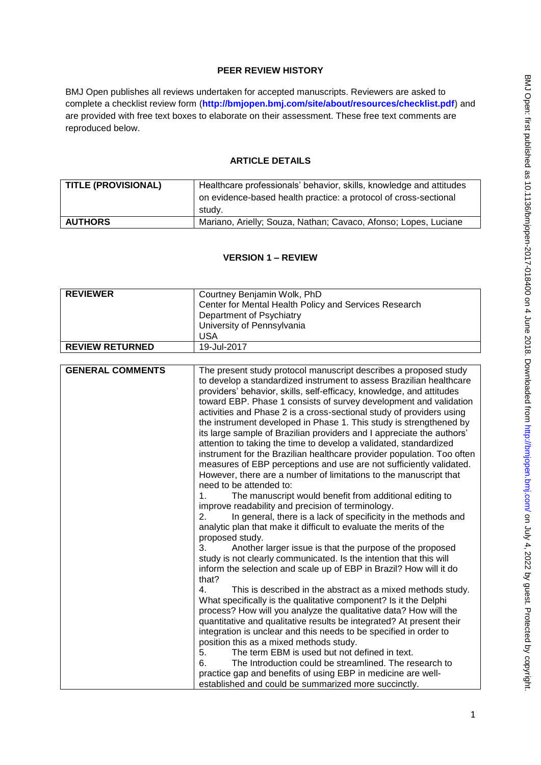# **PEER REVIEW HISTORY**

BMJ Open publishes all reviews undertaken for accepted manuscripts. Reviewers are asked to complete a checklist review form (**[http://bmjopen.bmj.com/site/about/resources/checklist.pdf\)](http://bmjopen.bmj.com/site/about/resources/checklist.pdf)** and are provided with free text boxes to elaborate on their assessment. These free text comments are reproduced below.

## **ARTICLE DETAILS**

| TITLE (PROVISIONAL) | Healthcare professionals' behavior, skills, knowledge and attitudes |
|---------------------|---------------------------------------------------------------------|
|                     | on evidence-based health practice: a protocol of cross-sectional    |
|                     | studv.                                                              |
| <b>AUTHORS</b>      | Mariano, Arielly; Souza, Nathan; Cavaco, Afonso; Lopes, Luciane     |

## **VERSION 1 – REVIEW**

| <b>REVIEWER</b>         | Courtney Benjamin Wolk, PhD                                                                                                                                                                                                                                                                                                                                                                                                                                                                                                                                                                                                                                                                                                                                                                                                                                                                                                                                                                                                                                                                                                                                                                                                                                                                                                                                                                                                                                                                                                                                                                                                                                                                                          |
|-------------------------|----------------------------------------------------------------------------------------------------------------------------------------------------------------------------------------------------------------------------------------------------------------------------------------------------------------------------------------------------------------------------------------------------------------------------------------------------------------------------------------------------------------------------------------------------------------------------------------------------------------------------------------------------------------------------------------------------------------------------------------------------------------------------------------------------------------------------------------------------------------------------------------------------------------------------------------------------------------------------------------------------------------------------------------------------------------------------------------------------------------------------------------------------------------------------------------------------------------------------------------------------------------------------------------------------------------------------------------------------------------------------------------------------------------------------------------------------------------------------------------------------------------------------------------------------------------------------------------------------------------------------------------------------------------------------------------------------------------------|
|                         | Center for Mental Health Policy and Services Research                                                                                                                                                                                                                                                                                                                                                                                                                                                                                                                                                                                                                                                                                                                                                                                                                                                                                                                                                                                                                                                                                                                                                                                                                                                                                                                                                                                                                                                                                                                                                                                                                                                                |
|                         | Department of Psychiatry                                                                                                                                                                                                                                                                                                                                                                                                                                                                                                                                                                                                                                                                                                                                                                                                                                                                                                                                                                                                                                                                                                                                                                                                                                                                                                                                                                                                                                                                                                                                                                                                                                                                                             |
|                         | University of Pennsylvania                                                                                                                                                                                                                                                                                                                                                                                                                                                                                                                                                                                                                                                                                                                                                                                                                                                                                                                                                                                                                                                                                                                                                                                                                                                                                                                                                                                                                                                                                                                                                                                                                                                                                           |
|                         | <b>USA</b>                                                                                                                                                                                                                                                                                                                                                                                                                                                                                                                                                                                                                                                                                                                                                                                                                                                                                                                                                                                                                                                                                                                                                                                                                                                                                                                                                                                                                                                                                                                                                                                                                                                                                                           |
| <b>REVIEW RETURNED</b>  | 19-Jul-2017                                                                                                                                                                                                                                                                                                                                                                                                                                                                                                                                                                                                                                                                                                                                                                                                                                                                                                                                                                                                                                                                                                                                                                                                                                                                                                                                                                                                                                                                                                                                                                                                                                                                                                          |
|                         |                                                                                                                                                                                                                                                                                                                                                                                                                                                                                                                                                                                                                                                                                                                                                                                                                                                                                                                                                                                                                                                                                                                                                                                                                                                                                                                                                                                                                                                                                                                                                                                                                                                                                                                      |
| <b>GENERAL COMMENTS</b> | The present study protocol manuscript describes a proposed study<br>to develop a standardized instrument to assess Brazilian healthcare<br>providers' behavior, skills, self-efficacy, knowledge, and attitudes<br>toward EBP. Phase 1 consists of survey development and validation<br>activities and Phase 2 is a cross-sectional study of providers using<br>the instrument developed in Phase 1. This study is strengthened by<br>its large sample of Brazilian providers and I appreciate the authors'<br>attention to taking the time to develop a validated, standardized<br>instrument for the Brazilian healthcare provider population. Too often<br>measures of EBP perceptions and use are not sufficiently validated.<br>However, there are a number of limitations to the manuscript that<br>need to be attended to:<br>1 <sub>1</sub><br>The manuscript would benefit from additional editing to<br>improve readability and precision of terminology.<br>2.<br>In general, there is a lack of specificity in the methods and<br>analytic plan that make it difficult to evaluate the merits of the<br>proposed study.<br>3.<br>Another larger issue is that the purpose of the proposed<br>study is not clearly communicated. Is the intention that this will<br>inform the selection and scale up of EBP in Brazil? How will it do<br>that?<br>This is described in the abstract as a mixed methods study.<br>4.<br>What specifically is the qualitative component? Is it the Delphi<br>process? How will you analyze the qualitative data? How will the<br>quantitative and qualitative results be integrated? At present their<br>integration is unclear and this needs to be specified in order to |
|                         | position this as a mixed methods study.<br>The term EBM is used but not defined in text.<br>5.                                                                                                                                                                                                                                                                                                                                                                                                                                                                                                                                                                                                                                                                                                                                                                                                                                                                                                                                                                                                                                                                                                                                                                                                                                                                                                                                                                                                                                                                                                                                                                                                                       |
|                         | The Introduction could be streamlined. The research to<br>6.                                                                                                                                                                                                                                                                                                                                                                                                                                                                                                                                                                                                                                                                                                                                                                                                                                                                                                                                                                                                                                                                                                                                                                                                                                                                                                                                                                                                                                                                                                                                                                                                                                                         |
|                         | practice gap and benefits of using EBP in medicine are well-                                                                                                                                                                                                                                                                                                                                                                                                                                                                                                                                                                                                                                                                                                                                                                                                                                                                                                                                                                                                                                                                                                                                                                                                                                                                                                                                                                                                                                                                                                                                                                                                                                                         |
|                         | established and could be summarized more succinctly.                                                                                                                                                                                                                                                                                                                                                                                                                                                                                                                                                                                                                                                                                                                                                                                                                                                                                                                                                                                                                                                                                                                                                                                                                                                                                                                                                                                                                                                                                                                                                                                                                                                                 |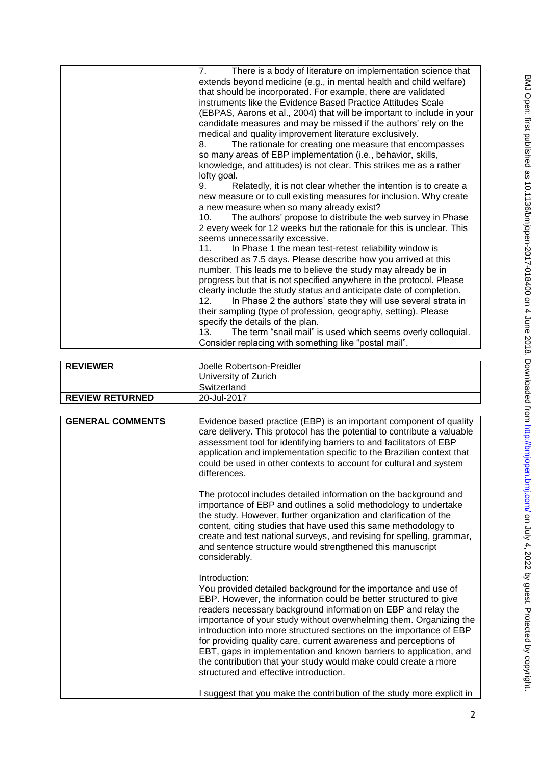| 7. | There is a body of literature on implementation science that<br>extends beyond medicine (e.g., in mental health and child welfare)<br>that should be incorporated. For example, there are validated<br>instruments like the Evidence Based Practice Attitudes Scale<br>(EBPAS, Aarons et al., 2004) that will be important to include in your<br>candidate measures and may be missed if the authors' rely on the<br>medical and quality improvement literature exclusively. |
|----|------------------------------------------------------------------------------------------------------------------------------------------------------------------------------------------------------------------------------------------------------------------------------------------------------------------------------------------------------------------------------------------------------------------------------------------------------------------------------|
| 8. | The rationale for creating one measure that encompasses                                                                                                                                                                                                                                                                                                                                                                                                                      |
|    | so many areas of EBP implementation (i.e., behavior, skills,<br>knowledge, and attitudes) is not clear. This strikes me as a rather                                                                                                                                                                                                                                                                                                                                          |
|    | lofty goal.                                                                                                                                                                                                                                                                                                                                                                                                                                                                  |
| 9. | Relatedly, it is not clear whether the intention is to create a                                                                                                                                                                                                                                                                                                                                                                                                              |
|    | new measure or to cull existing measures for inclusion. Why create                                                                                                                                                                                                                                                                                                                                                                                                           |
|    | a new measure when so many already exist?                                                                                                                                                                                                                                                                                                                                                                                                                                    |
|    | The authors' propose to distribute the web survey in Phase<br>10.                                                                                                                                                                                                                                                                                                                                                                                                            |
|    | 2 every week for 12 weeks but the rationale for this is unclear. This<br>seems unnecessarily excessive.                                                                                                                                                                                                                                                                                                                                                                      |
|    | 11.<br>In Phase 1 the mean test-retest reliability window is                                                                                                                                                                                                                                                                                                                                                                                                                 |
|    | described as 7.5 days. Please describe how you arrived at this                                                                                                                                                                                                                                                                                                                                                                                                               |
|    | number. This leads me to believe the study may already be in                                                                                                                                                                                                                                                                                                                                                                                                                 |
|    | progress but that is not specified anywhere in the protocol. Please                                                                                                                                                                                                                                                                                                                                                                                                          |
|    | clearly include the study status and anticipate date of completion.<br>In Phase 2 the authors' state they will use several strata in<br>12.                                                                                                                                                                                                                                                                                                                                  |
|    | their sampling (type of profession, geography, setting). Please                                                                                                                                                                                                                                                                                                                                                                                                              |
|    | specify the details of the plan.                                                                                                                                                                                                                                                                                                                                                                                                                                             |
|    | The term "snail mail" is used which seems overly colloquial.<br>13.                                                                                                                                                                                                                                                                                                                                                                                                          |
|    | Consider replacing with something like "postal mail".                                                                                                                                                                                                                                                                                                                                                                                                                        |

| <b>REVIEWER</b>        | Joelle Robertson-Preidler<br>University of Zurich |
|------------------------|---------------------------------------------------|
|                        | Switzerland                                       |
| <b>REVIEW RETURNED</b> | 20-Jul-2017                                       |

| <b>GENERAL COMMENTS</b> | Evidence based practice (EBP) is an important component of quality<br>care delivery. This protocol has the potential to contribute a valuable<br>assessment tool for identifying barriers to and facilitators of EBP<br>application and implementation specific to the Brazilian context that<br>could be used in other contexts to account for cultural and system<br>differences.                                                                                                                                                                                                                                      |
|-------------------------|--------------------------------------------------------------------------------------------------------------------------------------------------------------------------------------------------------------------------------------------------------------------------------------------------------------------------------------------------------------------------------------------------------------------------------------------------------------------------------------------------------------------------------------------------------------------------------------------------------------------------|
|                         | The protocol includes detailed information on the background and<br>importance of EBP and outlines a solid methodology to undertake<br>the study. However, further organization and clarification of the<br>content, citing studies that have used this same methodology to<br>create and test national surveys, and revising for spelling, grammar,<br>and sentence structure would strengthened this manuscript<br>considerably.                                                                                                                                                                                       |
|                         | Introduction:<br>You provided detailed background for the importance and use of<br>EBP. However, the information could be better structured to give<br>readers necessary background information on EBP and relay the<br>importance of your study without overwhelming them. Organizing the<br>introduction into more structured sections on the importance of EBP<br>for providing quality care, current awareness and perceptions of<br>EBT, gaps in implementation and known barriers to application, and<br>the contribution that your study would make could create a more<br>structured and effective introduction. |
|                         | I suggest that you make the contribution of the study more explicit in                                                                                                                                                                                                                                                                                                                                                                                                                                                                                                                                                   |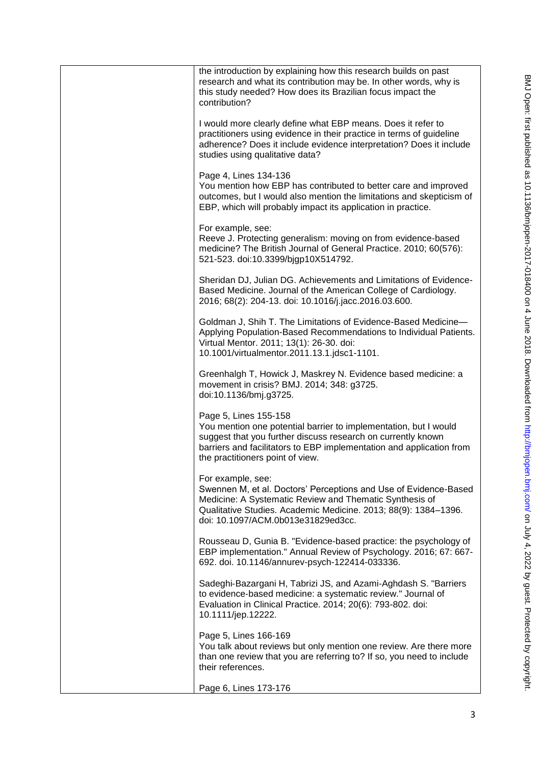| the introduction by explaining how this research builds on past<br>research and what its contribution may be. In other words, why is<br>this study needed? How does its Brazilian focus impact the<br>contribution?                                                   |
|-----------------------------------------------------------------------------------------------------------------------------------------------------------------------------------------------------------------------------------------------------------------------|
| I would more clearly define what EBP means. Does it refer to<br>practitioners using evidence in their practice in terms of guideline<br>adherence? Does it include evidence interpretation? Does it include<br>studies using qualitative data?                        |
| Page 4, Lines 134-136<br>You mention how EBP has contributed to better care and improved<br>outcomes, but I would also mention the limitations and skepticism of<br>EBP, which will probably impact its application in practice.                                      |
| For example, see:<br>Reeve J. Protecting generalism: moving on from evidence-based<br>medicine? The British Journal of General Practice. 2010; 60(576):<br>521-523. doi:10.3399/bjgp10X514792.                                                                        |
| Sheridan DJ, Julian DG. Achievements and Limitations of Evidence-<br>Based Medicine. Journal of the American College of Cardiology.<br>2016; 68(2): 204-13. doi: 10.1016/j.jacc.2016.03.600.                                                                          |
| Goldman J, Shih T. The Limitations of Evidence-Based Medicine-<br>Applying Population-Based Recommendations to Individual Patients.<br>Virtual Mentor. 2011; 13(1): 26-30. doi:<br>10.1001/virtualmentor.2011.13.1.jdsc1-1101.                                        |
| Greenhalgh T, Howick J, Maskrey N. Evidence based medicine: a<br>movement in crisis? BMJ. 2014; 348: g3725.<br>doi:10.1136/bmj.g3725.                                                                                                                                 |
| Page 5, Lines 155-158<br>You mention one potential barrier to implementation, but I would<br>suggest that you further discuss research on currently known<br>barriers and facilitators to EBP implementation and application from<br>the practitioners point of view. |
| For example, see:<br>Swennen M, et al. Doctors' Perceptions and Use of Evidence-Based<br>Medicine: A Systematic Review and Thematic Synthesis of<br>Qualitative Studies. Academic Medicine. 2013; 88(9): 1384-1396.<br>doi: 10.1097/ACM.0b013e31829ed3cc.             |
| Rousseau D, Gunia B. "Evidence-based practice: the psychology of<br>EBP implementation." Annual Review of Psychology. 2016; 67: 667-<br>692. doi. 10.1146/annurev-psych-122414-033336.                                                                                |
| Sadeghi-Bazargani H, Tabrizi JS, and Azami-Aghdash S. "Barriers<br>to evidence-based medicine: a systematic review." Journal of<br>Evaluation in Clinical Practice. 2014; 20(6): 793-802. doi:<br>10.1111/jep.12222.                                                  |
| Page 5, Lines 166-169<br>You talk about reviews but only mention one review. Are there more<br>than one review that you are referring to? If so, you need to include<br>their references.                                                                             |
| Page 6, Lines 173-176                                                                                                                                                                                                                                                 |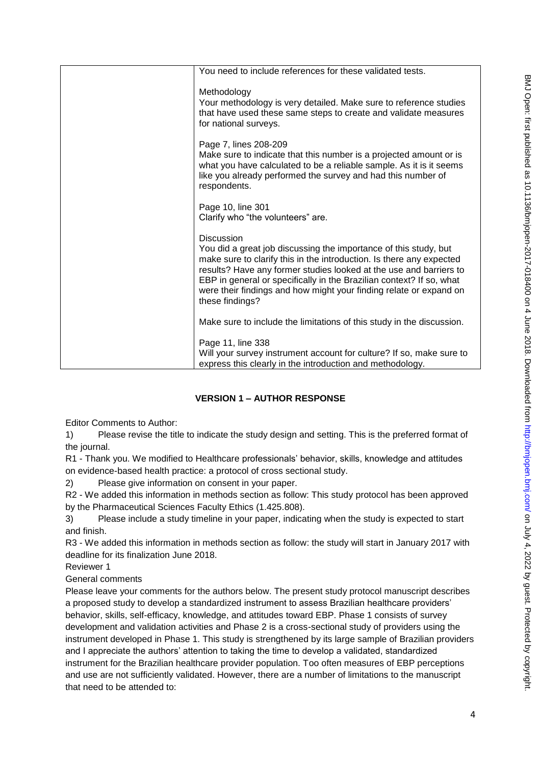| You need to include references for these validated tests.                                                                                                                                                                                                                                                                                                                                            |
|------------------------------------------------------------------------------------------------------------------------------------------------------------------------------------------------------------------------------------------------------------------------------------------------------------------------------------------------------------------------------------------------------|
| Methodology<br>Your methodology is very detailed. Make sure to reference studies<br>that have used these same steps to create and validate measures<br>for national surveys.                                                                                                                                                                                                                         |
| Page 7, lines 208-209<br>Make sure to indicate that this number is a projected amount or is<br>what you have calculated to be a reliable sample. As it is it seems<br>like you already performed the survey and had this number of<br>respondents.                                                                                                                                                   |
| Page 10, line 301<br>Clarify who "the volunteers" are.                                                                                                                                                                                                                                                                                                                                               |
| <b>Discussion</b><br>You did a great job discussing the importance of this study, but<br>make sure to clarify this in the introduction. Is there any expected<br>results? Have any former studies looked at the use and barriers to<br>EBP in general or specifically in the Brazilian context? If so, what<br>were their findings and how might your finding relate or expand on<br>these findings? |
| Make sure to include the limitations of this study in the discussion.                                                                                                                                                                                                                                                                                                                                |
| Page 11, line 338<br>Will your survey instrument account for culture? If so, make sure to<br>express this clearly in the introduction and methodology.                                                                                                                                                                                                                                               |
|                                                                                                                                                                                                                                                                                                                                                                                                      |

# **VERSION 1 – AUTHOR RESPONSE**

Editor Comments to Author:

1) Please revise the title to indicate the study design and setting. This is the preferred format of the journal.

R1 - Thank you. We modified to Healthcare professionals' behavior, skills, knowledge and attitudes on evidence-based health practice: a protocol of cross sectional study.

2) Please give information on consent in your paper.

R2 - We added this information in methods section as follow: This study protocol has been approved by the Pharmaceutical Sciences Faculty Ethics (1.425.808).

3) Please include a study timeline in your paper, indicating when the study is expected to start and finish.

R3 - We added this information in methods section as follow: the study will start in January 2017 with deadline for its finalization June 2018.

Reviewer 1

General comments

Please leave your comments for the authors below. The present study protocol manuscript describes a proposed study to develop a standardized instrument to assess Brazilian healthcare providers' behavior, skills, self-efficacy, knowledge, and attitudes toward EBP. Phase 1 consists of survey development and validation activities and Phase 2 is a cross-sectional study of providers using the instrument developed in Phase 1. This study is strengthened by its large sample of Brazilian providers and I appreciate the authors' attention to taking the time to develop a validated, standardized instrument for the Brazilian healthcare provider population. Too often measures of EBP perceptions and use are not sufficiently validated. However, there are a number of limitations to the manuscript that need to be attended to: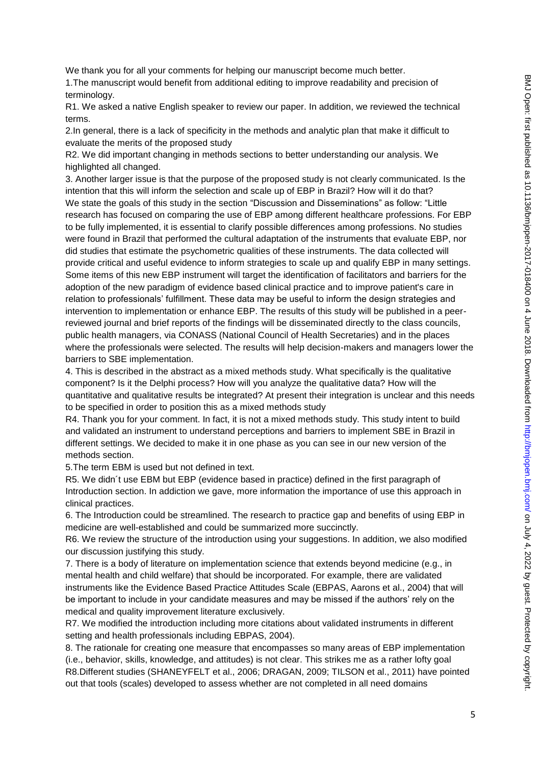We thank you for all your comments for helping our manuscript become much better.

1.The manuscript would benefit from additional editing to improve readability and precision of terminology.

R1. We asked a native English speaker to review our paper. In addition, we reviewed the technical terms.

2.In general, there is a lack of specificity in the methods and analytic plan that make it difficult to evaluate the merits of the proposed study

R2. We did important changing in methods sections to better understanding our analysis. We highlighted all changed.

3. Another larger issue is that the purpose of the proposed study is not clearly communicated. Is the intention that this will inform the selection and scale up of EBP in Brazil? How will it do that? We state the goals of this study in the section "Discussion and Disseminations" as follow: "Little research has focused on comparing the use of EBP among different healthcare professions. For EBP to be fully implemented, it is essential to clarify possible differences among professions. No studies were found in Brazil that performed the cultural adaptation of the instruments that evaluate EBP, nor did studies that estimate the psychometric qualities of these instruments. The data collected will provide critical and useful evidence to inform strategies to scale up and qualify EBP in many settings. Some items of this new EBP instrument will target the identification of facilitators and barriers for the adoption of the new paradigm of evidence based clinical practice and to improve patient's care in relation to professionals' fulfillment. These data may be useful to inform the design strategies and intervention to implementation or enhance EBP. The results of this study will be published in a peerreviewed journal and brief reports of the findings will be disseminated directly to the class councils, public health managers, via CONASS (National Council of Health Secretaries) and in the places where the professionals were selected. The results will help decision-makers and managers lower the barriers to SBE implementation.

4. This is described in the abstract as a mixed methods study. What specifically is the qualitative component? Is it the Delphi process? How will you analyze the qualitative data? How will the quantitative and qualitative results be integrated? At present their integration is unclear and this needs to be specified in order to position this as a mixed methods study

R4. Thank you for your comment. In fact, it is not a mixed methods study. This study intent to build and validated an instrument to understand perceptions and barriers to implement SBE in Brazil in different settings. We decided to make it in one phase as you can see in our new version of the methods section.

5.The term EBM is used but not defined in text.

R5. We didn´t use EBM but EBP (evidence based in practice) defined in the first paragraph of Introduction section. In addiction we gave, more information the importance of use this approach in clinical practices.

6. The Introduction could be streamlined. The research to practice gap and benefits of using EBP in medicine are well-established and could be summarized more succinctly.

R6. We review the structure of the introduction using your suggestions. In addition, we also modified our discussion justifying this study.

7. There is a body of literature on implementation science that extends beyond medicine (e.g., in mental health and child welfare) that should be incorporated. For example, there are validated instruments like the Evidence Based Practice Attitudes Scale (EBPAS, Aarons et al., 2004) that will be important to include in your candidate measures and may be missed if the authors' rely on the medical and quality improvement literature exclusively.

R7. We modified the introduction including more citations about validated instruments in different setting and health professionals including EBPAS, 2004).

8. The rationale for creating one measure that encompasses so many areas of EBP implementation (i.e., behavior, skills, knowledge, and attitudes) is not clear. This strikes me as a rather lofty goal R8.Different studies (SHANEYFELT et al., 2006; DRAGAN, 2009; TILSON et al., 2011) have pointed out that tools (scales) developed to assess whether are not completed in all need domains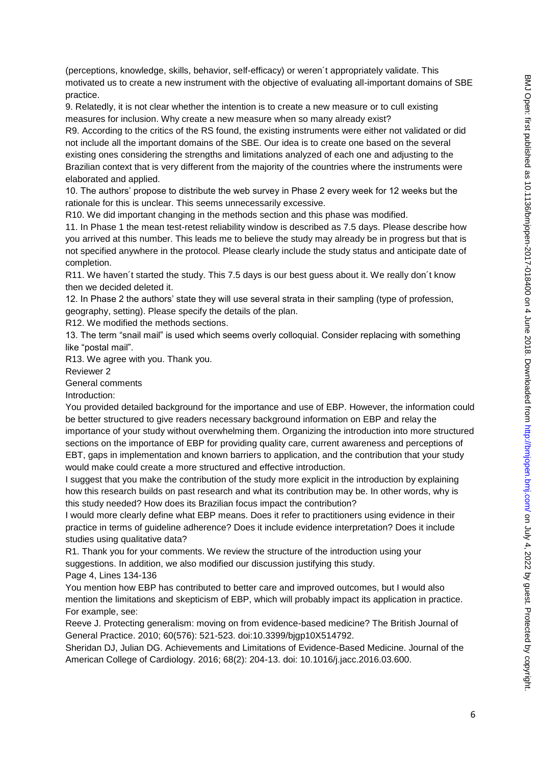(perceptions, knowledge, skills, behavior, self-efficacy) or weren´t appropriately validate. This motivated us to create a new instrument with the objective of evaluating all-important domains of SBE practice.

9. Relatedly, it is not clear whether the intention is to create a new measure or to cull existing measures for inclusion. Why create a new measure when so many already exist?

R9. According to the critics of the RS found, the existing instruments were either not validated or did not include all the important domains of the SBE. Our idea is to create one based on the several existing ones considering the strengths and limitations analyzed of each one and adjusting to the Brazilian context that is very different from the majority of the countries where the instruments were elaborated and applied.

10. The authors' propose to distribute the web survey in Phase 2 every week for 12 weeks but the rationale for this is unclear. This seems unnecessarily excessive.

R10. We did important changing in the methods section and this phase was modified.

11. In Phase 1 the mean test-retest reliability window is described as 7.5 days. Please describe how you arrived at this number. This leads me to believe the study may already be in progress but that is not specified anywhere in the protocol. Please clearly include the study status and anticipate date of completion.

R11. We haven´t started the study. This 7.5 days is our best guess about it. We really don´t know then we decided deleted it.

12. In Phase 2 the authors' state they will use several strata in their sampling (type of profession, geography, setting). Please specify the details of the plan.

R12. We modified the methods sections.

13. The term "snail mail" is used which seems overly colloquial. Consider replacing with something like "postal mail".

R13. We agree with you. Thank you.

Reviewer 2

General comments

Introduction:

You provided detailed background for the importance and use of EBP. However, the information could be better structured to give readers necessary background information on EBP and relay the importance of your study without overwhelming them. Organizing the introduction into more structured sections on the importance of EBP for providing quality care, current awareness and perceptions of EBT, gaps in implementation and known barriers to application, and the contribution that your study would make could create a more structured and effective introduction.

I suggest that you make the contribution of the study more explicit in the introduction by explaining how this research builds on past research and what its contribution may be. In other words, why is this study needed? How does its Brazilian focus impact the contribution?

I would more clearly define what EBP means. Does it refer to practitioners using evidence in their practice in terms of guideline adherence? Does it include evidence interpretation? Does it include studies using qualitative data?

R1. Thank you for your comments. We review the structure of the introduction using your suggestions. In addition, we also modified our discussion justifying this study.

Page 4, Lines 134-136

You mention how EBP has contributed to better care and improved outcomes, but I would also mention the limitations and skepticism of EBP, which will probably impact its application in practice. For example, see:

Reeve J. Protecting generalism: moving on from evidence-based medicine? The British Journal of General Practice. 2010; 60(576): 521-523. doi:10.3399/bjgp10X514792.

Sheridan DJ, Julian DG. Achievements and Limitations of Evidence-Based Medicine. Journal of the American College of Cardiology. 2016; 68(2): 204-13. doi: 10.1016/j.jacc.2016.03.600.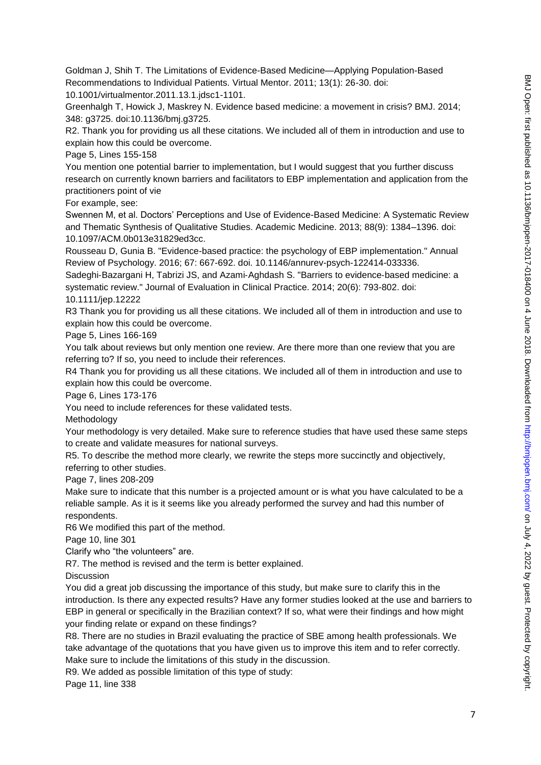Goldman J, Shih T. The Limitations of Evidence-Based Medicine—Applying Population-Based Recommendations to Individual Patients. Virtual Mentor. 2011; 13(1): 26-30. doi: 10.1001/virtualmentor.2011.13.1.jdsc1-1101.

Greenhalgh T, Howick J, Maskrey N. Evidence based medicine: a movement in crisis? BMJ. 2014; 348: g3725. doi:10.1136/bmj.g3725.

R2. Thank you for providing us all these citations. We included all of them in introduction and use to explain how this could be overcome.

Page 5, Lines 155-158

You mention one potential barrier to implementation, but I would suggest that you further discuss research on currently known barriers and facilitators to EBP implementation and application from the practitioners point of vie

For example, see:

Swennen M, et al. Doctors' Perceptions and Use of Evidence-Based Medicine: A Systematic Review and Thematic Synthesis of Qualitative Studies. Academic Medicine. 2013; 88(9): 1384–1396. doi: 10.1097/ACM.0b013e31829ed3cc.

Rousseau D, Gunia B. "Evidence-based practice: the psychology of EBP implementation." Annual Review of Psychology. 2016; 67: 667-692. doi. 10.1146/annurev-psych-122414-033336.

Sadeghi‐Bazargani H, Tabrizi JS, and Azami‐Aghdash S. "Barriers to evidence‐based medicine: a systematic review." Journal of Evaluation in Clinical Practice. 2014; 20(6): 793-802. doi:

10.1111/jep.12222

R3 Thank you for providing us all these citations. We included all of them in introduction and use to explain how this could be overcome.

Page 5, Lines 166-169

You talk about reviews but only mention one review. Are there more than one review that you are referring to? If so, you need to include their references.

R4 Thank you for providing us all these citations. We included all of them in introduction and use to explain how this could be overcome.

Page 6, Lines 173-176

You need to include references for these validated tests.

**Methodology** 

Your methodology is very detailed. Make sure to reference studies that have used these same steps to create and validate measures for national surveys.

R5. To describe the method more clearly, we rewrite the steps more succinctly and objectively, referring to other studies.

Page 7, lines 208-209

Make sure to indicate that this number is a projected amount or is what you have calculated to be a reliable sample. As it is it seems like you already performed the survey and had this number of respondents.

R6 We modified this part of the method.

Page 10, line 301

Clarify who "the volunteers" are.

R7. The method is revised and the term is better explained.

**Discussion** 

You did a great job discussing the importance of this study, but make sure to clarify this in the introduction. Is there any expected results? Have any former studies looked at the use and barriers to EBP in general or specifically in the Brazilian context? If so, what were their findings and how might your finding relate or expand on these findings?

R8. There are no studies in Brazil evaluating the practice of SBE among health professionals. We take advantage of the quotations that you have given us to improve this item and to refer correctly. Make sure to include the limitations of this study in the discussion.

R9. We added as possible limitation of this type of study:

Page 11, line 338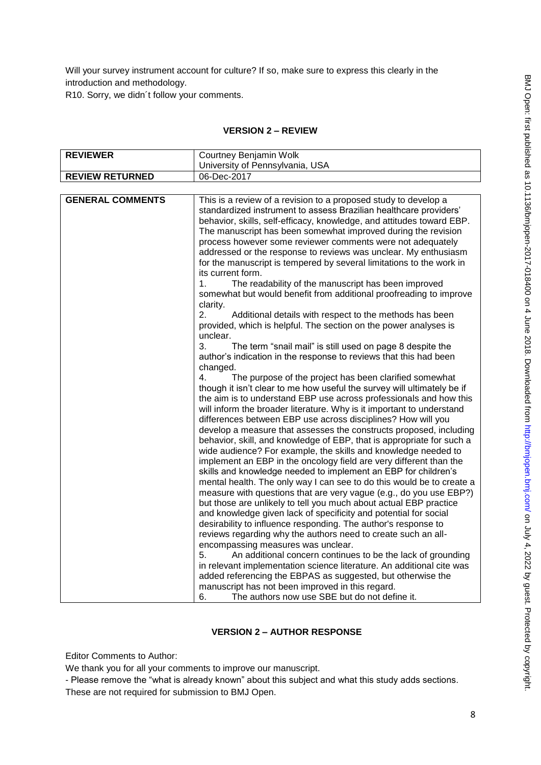Will your survey instrument account for culture? If so, make sure to express this clearly in the introduction and methodology.

R10. Sorry, we didn´t follow your comments.

## **VERSION 2 – REVIEW**

| <b>REVIEWER</b>         | Courtney Benjamin Wolk                                                  |
|-------------------------|-------------------------------------------------------------------------|
|                         | University of Pennsylvania, USA                                         |
| <b>REVIEW RETURNED</b>  | 06-Dec-2017                                                             |
|                         |                                                                         |
| <b>GENERAL COMMENTS</b> | This is a review of a revision to a proposed study to develop a         |
|                         | standardized instrument to assess Brazilian healthcare providers'       |
|                         | behavior, skills, self-efficacy, knowledge, and attitudes toward EBP.   |
|                         | The manuscript has been somewhat improved during the revision           |
|                         | process however some reviewer comments were not adequately              |
|                         | addressed or the response to reviews was unclear. My enthusiasm         |
|                         | for the manuscript is tempered by several limitations to the work in    |
|                         | its current form.                                                       |
|                         | The readability of the manuscript has been improved<br>1.               |
|                         | somewhat but would benefit from additional proofreading to improve      |
|                         | clarity.                                                                |
|                         | 2.<br>Additional details with respect to the methods has been           |
|                         | provided, which is helpful. The section on the power analyses is        |
|                         | unclear.                                                                |
|                         | 3.<br>The term "snail mail" is still used on page 8 despite the         |
|                         | author's indication in the response to reviews that this had been       |
|                         | changed.                                                                |
|                         | 4.<br>The purpose of the project has been clarified somewhat            |
|                         | though it isn't clear to me how useful the survey will ultimately be if |
|                         | the aim is to understand EBP use across professionals and how this      |
|                         | will inform the broader literature. Why is it important to understand   |
|                         | differences between EBP use across disciplines? How will you            |
|                         | develop a measure that assesses the constructs proposed, including      |
|                         | behavior, skill, and knowledge of EBP, that is appropriate for such a   |
|                         | wide audience? For example, the skills and knowledge needed to          |
|                         | implement an EBP in the oncology field are very different than the      |
|                         | skills and knowledge needed to implement an EBP for children's          |
|                         | mental health. The only way I can see to do this would be to create a   |
|                         | measure with questions that are very vague (e.g., do you use EBP?)      |
|                         | but those are unlikely to tell you much about actual EBP practice       |
|                         | and knowledge given lack of specificity and potential for social        |
|                         | desirability to influence responding. The author's response to          |
|                         | reviews regarding why the authors need to create such an all-           |
|                         | encompassing measures was unclear.                                      |
|                         | 5.<br>An additional concern continues to be the lack of grounding       |
|                         | in relevant implementation science literature. An additional cite was   |
|                         | added referencing the EBPAS as suggested, but otherwise the             |
|                         | manuscript has not been improved in this regard.                        |
|                         | 6.<br>The authors now use SBE but do not define it.                     |

#### **VERSION 2 – AUTHOR RESPONSE**

Editor Comments to Author:

We thank you for all your comments to improve our manuscript.

- Please remove the "what is already known" about this subject and what this study adds sections. These are not required for submission to BMJ Open.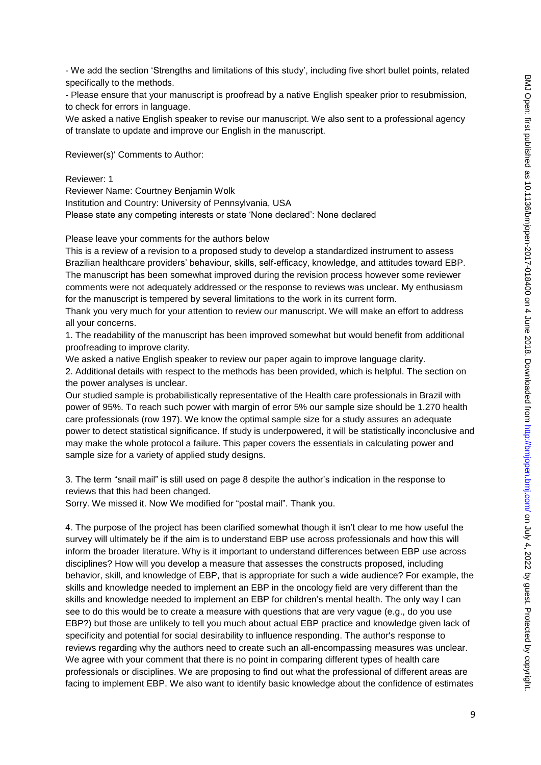- We add the section 'Strengths and limitations of this study', including five short bullet points, related specifically to the methods.

- Please ensure that your manuscript is proofread by a native English speaker prior to resubmission, to check for errors in language.

We asked a native English speaker to revise our manuscript. We also sent to a professional agency of translate to update and improve our English in the manuscript.

Reviewer(s)' Comments to Author:

Reviewer: 1

Reviewer Name: Courtney Benjamin Wolk Institution and Country: University of Pennsylvania, USA Please state any competing interests or state 'None declared': None declared

Please leave your comments for the authors below

This is a review of a revision to a proposed study to develop a standardized instrument to assess Brazilian healthcare providers' behaviour, skills, self-efficacy, knowledge, and attitudes toward EBP. The manuscript has been somewhat improved during the revision process however some reviewer comments were not adequately addressed or the response to reviews was unclear. My enthusiasm for the manuscript is tempered by several limitations to the work in its current form.

Thank you very much for your attention to review our manuscript. We will make an effort to address all your concerns.

1. The readability of the manuscript has been improved somewhat but would benefit from additional proofreading to improve clarity.

We asked a native English speaker to review our paper again to improve language clarity.

2. Additional details with respect to the methods has been provided, which is helpful. The section on the power analyses is unclear.

Our studied sample is probabilistically representative of the Health care professionals in Brazil with power of 95%. To reach such power with margin of error 5% our sample size should be 1.270 health care professionals (row 197). We know the optimal sample size for a study assures an adequate power to detect statistical significance. If study is underpowered, it will be statistically inconclusive and may make the whole protocol a failure. This paper covers the essentials in calculating power and sample size for a variety of applied study designs.

3. The term "snail mail" is still used on page 8 despite the author's indication in the response to reviews that this had been changed.

Sorry. We missed it. Now We modified for "postal mail". Thank you.

4. The purpose of the project has been clarified somewhat though it isn't clear to me how useful the survey will ultimately be if the aim is to understand EBP use across professionals and how this will inform the broader literature. Why is it important to understand differences between EBP use across disciplines? How will you develop a measure that assesses the constructs proposed, including behavior, skill, and knowledge of EBP, that is appropriate for such a wide audience? For example, the skills and knowledge needed to implement an EBP in the oncology field are very different than the skills and knowledge needed to implement an EBP for children's mental health. The only way I can see to do this would be to create a measure with questions that are very vague (e.g., do you use EBP?) but those are unlikely to tell you much about actual EBP practice and knowledge given lack of specificity and potential for social desirability to influence responding. The author's response to reviews regarding why the authors need to create such an all-encompassing measures was unclear. We agree with your comment that there is no point in comparing different types of health care professionals or disciplines. We are proposing to find out what the professional of different areas are facing to implement EBP. We also want to identify basic knowledge about the confidence of estimates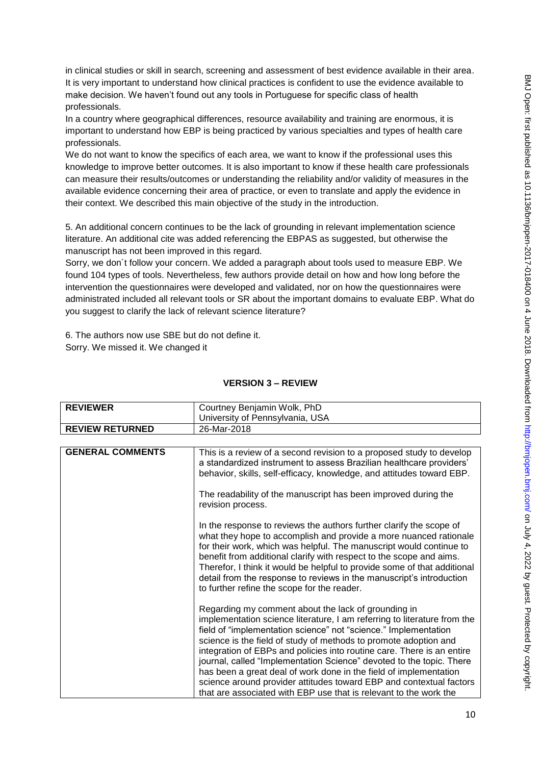in clinical studies or skill in search, screening and assessment of best evidence available in their area. It is very important to understand how clinical practices is confident to use the evidence available to make decision. We haven't found out any tools in Portuguese for specific class of health professionals.

In a country where geographical differences, resource availability and training are enormous, it is important to understand how EBP is being practiced by various specialties and types of health care professionals.

We do not want to know the specifics of each area, we want to know if the professional uses this knowledge to improve better outcomes. It is also important to know if these health care professionals can measure their results/outcomes or understanding the reliability and/or validity of measures in the available evidence concerning their area of practice, or even to translate and apply the evidence in their context. We described this main objective of the study in the introduction.

5. An additional concern continues to be the lack of grounding in relevant implementation science literature. An additional cite was added referencing the EBPAS as suggested, but otherwise the manuscript has not been improved in this regard.

Sorry, we don´t follow your concern. We added a paragraph about tools used to measure EBP. We found 104 types of tools. Nevertheless, few authors provide detail on how and how long before the intervention the questionnaires were developed and validated, nor on how the questionnaires were administrated included all relevant tools or SR about the important domains to evaluate EBP. What do you suggest to clarify the lack of relevant science literature?

6. The authors now use SBE but do not define it. Sorry. We missed it. We changed it

## **VERSION 3 – REVIEW**

| <b>REVIEWER</b>        | Courtney Benjamin Wolk, PhD<br>University of Pennsylvania, USA |
|------------------------|----------------------------------------------------------------|
| <b>REVIEW RETURNED</b> | 26-Mar-2018                                                    |

| <b>GENERAL COMMENTS</b> | This is a review of a second revision to a proposed study to develop<br>a standardized instrument to assess Brazilian healthcare providers'<br>behavior, skills, self-efficacy, knowledge, and attitudes toward EBP.                                                                                                                                                                                                                                                                                                                                                                                                                      |
|-------------------------|-------------------------------------------------------------------------------------------------------------------------------------------------------------------------------------------------------------------------------------------------------------------------------------------------------------------------------------------------------------------------------------------------------------------------------------------------------------------------------------------------------------------------------------------------------------------------------------------------------------------------------------------|
|                         | The readability of the manuscript has been improved during the<br>revision process.                                                                                                                                                                                                                                                                                                                                                                                                                                                                                                                                                       |
|                         | In the response to reviews the authors further clarify the scope of<br>what they hope to accomplish and provide a more nuanced rationale<br>for their work, which was helpful. The manuscript would continue to<br>benefit from additional clarify with respect to the scope and aims.<br>Therefor, I think it would be helpful to provide some of that additional<br>detail from the response to reviews in the manuscript's introduction<br>to further refine the scope for the reader.                                                                                                                                                 |
|                         | Regarding my comment about the lack of grounding in<br>implementation science literature, I am referring to literature from the<br>field of "implementation science" not "science." Implementation<br>science is the field of study of methods to promote adoption and<br>integration of EBPs and policies into routine care. There is an entire<br>journal, called "Implementation Science" devoted to the topic. There<br>has been a great deal of work done in the field of implementation<br>science around provider attitudes toward EBP and contextual factors<br>that are associated with EBP use that is relevant to the work the |